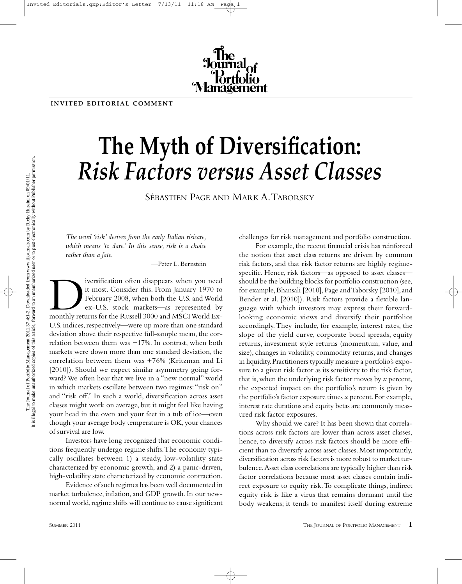## **INVITED EDITORIAL COMMENT**

## **The Myth of Diversification:** *Risk Factors versus Asset Classes*

SÉBASTIEN PAGE AND MARK A.TABORSKY

*The word 'risk' derives from the early Italian risicare, which means 'to dare.' In this sense, risk is a choice rather than a fate.*

—Peter L. Bernstein

iversification often disappears when you need<br>it most. Consider this. From January 1970 to<br>February 2008, when both the U.S. and World<br>ex-U.S. stock markets—as represented by<br>monthly returns for the Russell 3000 and MSCI W it most. Consider this. From January 1970 to February 2008, when both the U.S. and World ex-U.S. stock markets—as represented by U.S. indices, respectively—were up more than one standard deviation above their respective full-sample mean, the correlation between them was −17%. In contrast, when both markets were down more than one standard deviation, the correlation between them was +76% (Kritzman and Li [2010]). Should we expect similar asymmetry going forward?We often hear that we live in a "new normal" world in which markets oscillate between two regimes: "risk on" and "risk off." In such a world, diversification across asset classes might work on average, but it might feel like having your head in the oven and your feet in a tub of ice—even though your average body temperature is OK, your chances of survival are low.

Investors have long recognized that economic conditions frequently undergo regime shifts.The economy typically oscillates between 1) a steady, low-volatility state characterized by economic growth, and 2) a panic-driven, high-volatility state characterized by economic contraction.

Evidence of such regimes has been well documented in market turbulence, inflation, and GDP growth. In our newnormal world, regime shifts will continue to cause significant challenges for risk management and portfolio construction.

For example, the recent financial crisis has reinforced the notion that asset class returns are driven by common risk factors, and that risk factor returns are highly regimespecific. Hence, risk factors—as opposed to asset classes should be the building blocks for portfolio construction (see, for example, Bhansali [2010], Page and Taborsky [2010], and Bender et al. [2010]). Risk factors provide a flexible language with which investors may express their forwardlooking economic views and diversify their portfolios accordingly.They include, for example, interest rates, the slope of the yield curve, corporate bond spreads, equity returns, investment style returns (momentum, value, and size), changes in volatility, commodity returns, and changes in liquidity.Practitioners typically measure a portfolio's exposure to a given risk factor as its sensitivity to the risk factor, that is,when the underlying risk factor moves by *x* percent, the expected impact on the portfolio's return is given by the portfolio's factor exposure times *x* percent.For example, interest rate durations and equity betas are commonly measured risk factor exposures.

Why should we care? It has been shown that correlations across risk factors are lower than across asset classes, hence, to diversify across risk factors should be more efficient than to diversify across asset classes.Most importantly, diversification across risk factors is more robust to market turbulence.Asset class correlations are typically higher than risk factor correlations because most asset classes contain indirect exposure to equity risk.To complicate things, indirect equity risk is like a virus that remains dormant until the body weakens; it tends to manifest itself during extreme